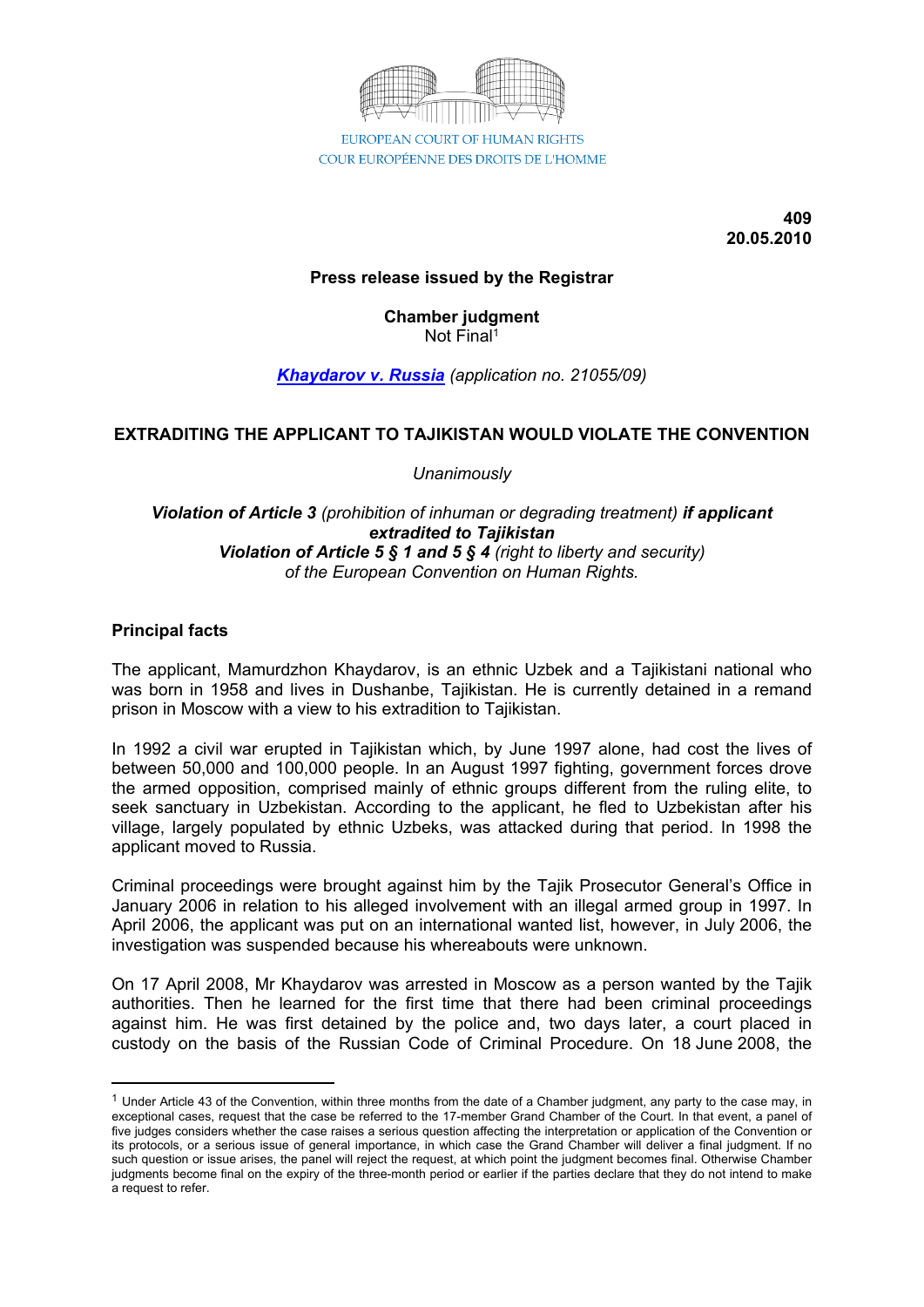

COUR EUROPÉENNE DES DROITS DE L'HOMME

**409 20.05.2010**

# **Press release issued by the Registrar**

**Chamber judgment** Not Final<sup>1</sup>

*[Khaydarov](http://cmiskp.echr.coe.int/tkp197/view.asp?action=html&documentId=868195&portal=hbkm&source=externalbydocnumber&table=F69A27FD8FB86142BF01C1166DEA398649) v. Russia (application no. 21055/09)*

# **EXTRADITING THE APPLICANT TO TAJIKISTAN WOULD VIOLATE THE CONVENTION**

*Unanimously*

#### *Violation of Article 3 (prohibition of inhuman or degrading treatment) if applicant extradited to Tajikistan Violation of Article 5 § 1 and 5 § 4 (right to liberty and security) of the European Convention on Human Rights.*

#### **Principal facts**

The applicant, Mamurdzhon Khaydarov, is an ethnic Uzbek and a Tajikistani national who was born in 1958 and lives in Dushanbe, Tajikistan. He is currently detained in a remand prison in Moscow with a view to his extradition to Tajikistan.

In 1992 a civil war erupted in Tajikistan which, by June 1997 alone, had cost the lives of between 50,000 and 100,000 people. In an August 1997 fighting, government forces drove the armed opposition, comprised mainly of ethnic groups different from the ruling elite, to seek sanctuary in Uzbekistan. According to the applicant, he fled to Uzbekistan after his village, largely populated by ethnic Uzbeks, was attacked during that period. In 1998 the applicant moved to Russia.

Criminal proceedings were brought against him by the Tajik Prosecutor General's Office in January 2006 in relation to his alleged involvement with an illegal armed group in 1997. In April 2006, the applicant was put on an international wanted list, however, in July 2006, the investigation was suspended because his whereabouts were unknown.

On 17 April 2008, Mr Khaydarov was arrested in Moscow as a person wanted by the Tajik authorities. Then he learned for the first time that there had been criminal proceedings against him. He was first detained by the police and, two days later, a court placed in custody on the basis of the Russian Code of Criminal Procedure. On 18 June 2008, the

 $1$  Under Article 43 of the Convention, within three months from the date of a Chamber judgment, any party to the case may, in exceptional cases, request that the case be referred to the 17-member Grand Chamber of the Court. In that event, a panel of five judges considers whether the case raises a serious question affecting the interpretation or application of the Convention or its protocols, or a serious issue of general importance, in which case the Grand Chamber will deliver a final judgment. If no such question or issue arises, the panel will reject the request, at which point the judgment becomes final. Otherwise Chamber judgments become final on the expiry of the three-month period or earlier if the parties declare that they do not intend to make a request to refer.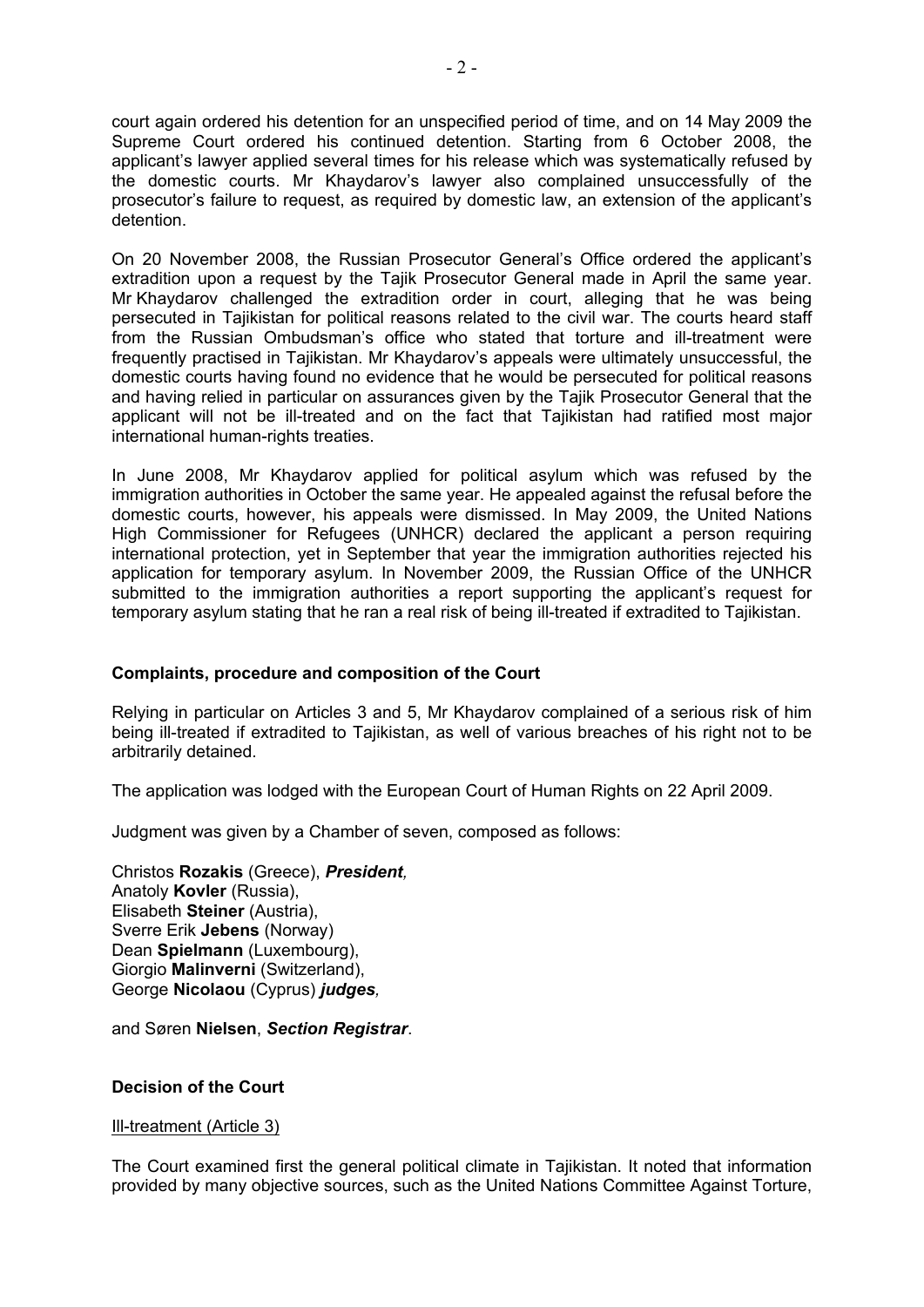court again ordered his detention for an unspecified period of time, and on 14 May 2009 the Supreme Court ordered his continued detention. Starting from 6 October 2008, the applicant's lawyer applied several times for his release which was systematically refused by the domestic courts. Mr Khaydarov's lawyer also complained unsuccessfully of the prosecutor's failure to request, as required by domestic law, an extension of the applicant's detention.

On 20 November 2008, the Russian Prosecutor General's Office ordered the applicant's extradition upon a request by the Tajik Prosecutor General made in April the same year. Mr Khaydarov challenged the extradition order in court, alleging that he was being persecuted in Tajikistan for political reasons related to the civil war. The courts heard staff from the Russian Ombudsman's office who stated that torture and ill-treatment were frequently practised in Tajikistan. Mr Khaydarov's appeals were ultimately unsuccessful, the domestic courts having found no evidence that he would be persecuted for political reasons and having relied in particular on assurances given by the Tajik Prosecutor General that the applicant will not be ill-treated and on the fact that Tajikistan had ratified most major international human-rights treaties.

In June 2008, Mr Khaydarov applied for political asylum which was refused by the immigration authorities in October the same year. He appealed against the refusal before the domestic courts, however, his appeals were dismissed. In May 2009, the United Nations High Commissioner for Refugees (UNHCR) declared the applicant a person requiring international protection, yet in September that year the immigration authorities rejected his application for temporary asylum. In November 2009, the Russian Office of the UNHCR submitted to the immigration authorities a report supporting the applicant's request for temporary asylum stating that he ran a real risk of being ill-treated if extradited to Tajikistan.

# **Complaints, procedure and composition of the Court**

Relying in particular on Articles 3 and 5, Mr Khaydarov complained of a serious risk of him being ill-treated if extradited to Tajikistan, as well of various breaches of his right not to be arbitrarily detained.

The application was lodged with the European Court of Human Rights on 22 April 2009.

Judgment was given by a Chamber of seven, composed as follows:

Christos **Rozakis** (Greece), *President,* Anatoly **Kovler** (Russia), Elisabeth **Steiner** (Austria), Sverre Erik **Jebens** (Norway) Dean **Spielmann** (Luxembourg), Giorgio **Malinverni** (Switzerland), George **Nicolaou** (Cyprus) *judges,*

and Søren **Nielsen**, *Section Registrar*.

# **Decision of the Court**

Ill-treatment (Article 3)

The Court examined first the general political climate in Tajikistan. It noted that information provided by many objective sources, such as the United Nations Committee Against Torture,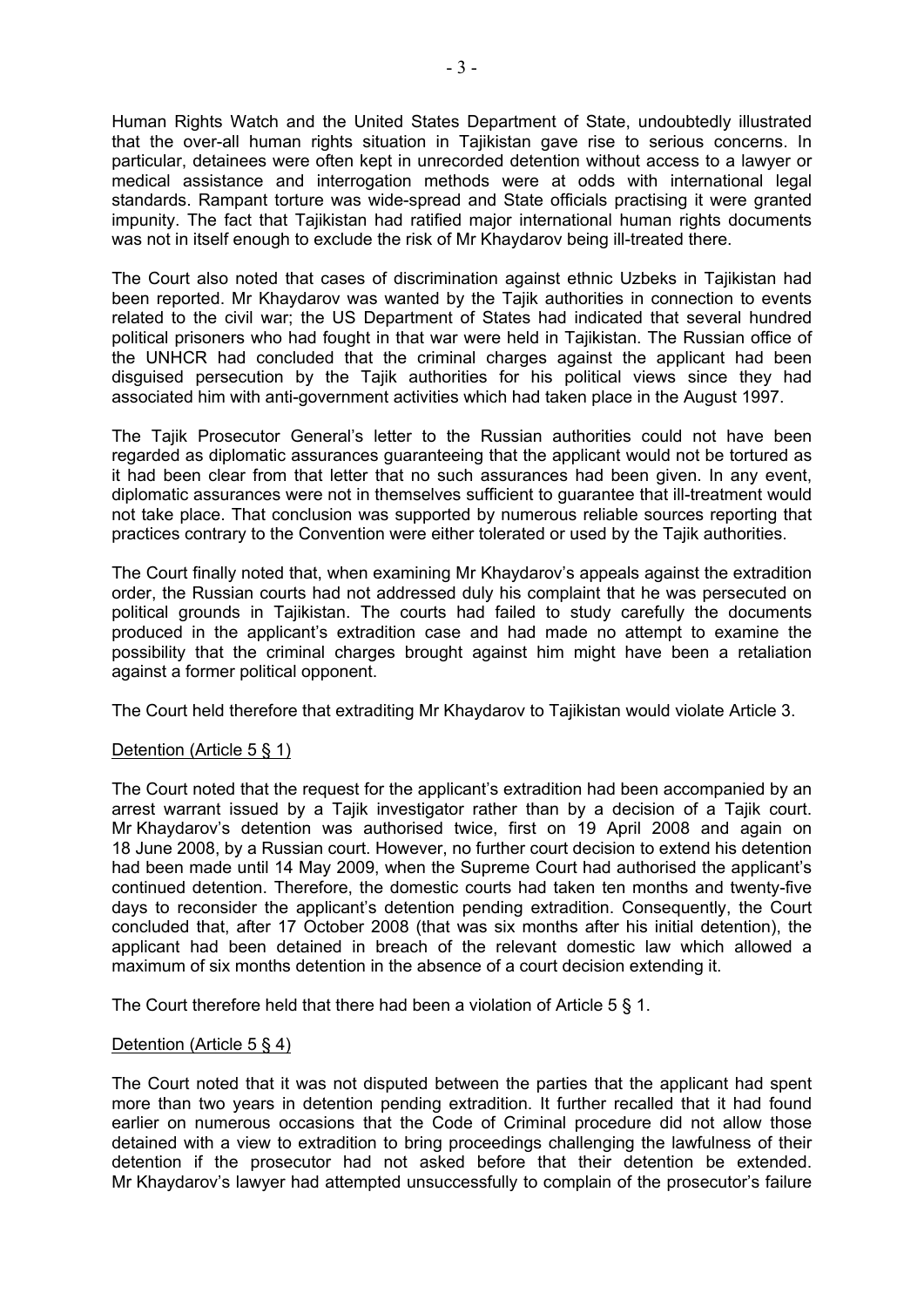Human Rights Watch and the United States Department of State, undoubtedly illustrated that the over-all human rights situation in Tajikistan gave rise to serious concerns. In particular, detainees were often kept in unrecorded detention without access to a lawyer or medical assistance and interrogation methods were at odds with international legal standards. Rampant torture was wide-spread and State officials practising it were granted impunity. The fact that Tajikistan had ratified major international human rights documents was not in itself enough to exclude the risk of Mr Khaydarov being ill-treated there.

The Court also noted that cases of discrimination against ethnic Uzbeks in Tajikistan had been reported. Mr Khaydarov was wanted by the Tajik authorities in connection to events related to the civil war; the US Department of States had indicated that several hundred political prisoners who had fought in that war were held in Tajikistan. The Russian office of the UNHCR had concluded that the criminal charges against the applicant had been disguised persecution by the Tajik authorities for his political views since they had associated him with anti-government activities which had taken place in the August 1997.

The Tajik Prosecutor General's letter to the Russian authorities could not have been regarded as diplomatic assurances guaranteeing that the applicant would not be tortured as it had been clear from that letter that no such assurances had been given. In any event, diplomatic assurances were not in themselves sufficient to guarantee that ill-treatment would not take place. That conclusion was supported by numerous reliable sources reporting that practices contrary to the Convention were either tolerated or used by the Tajik authorities.

The Court finally noted that, when examining Mr Khaydarov's appeals against the extradition order, the Russian courts had not addressed duly his complaint that he was persecuted on political grounds in Tajikistan. The courts had failed to study carefully the documents produced in the applicant's extradition case and had made no attempt to examine the possibility that the criminal charges brought against him might have been a retaliation against a former political opponent.

The Court held therefore that extraditing Mr Khaydarov to Tajikistan would violate Article 3.

# Detention (Article 5 § 1)

The Court noted that the request for the applicant's extradition had been accompanied by an arrest warrant issued by a Tajik investigator rather than by a decision of a Tajik court. Mr Khaydarov's detention was authorised twice, first on 19 April 2008 and again on 18 June 2008, by a Russian court. However, no further court decision to extend his detention had been made until 14 May 2009, when the Supreme Court had authorised the applicant's continued detention. Therefore, the domestic courts had taken ten months and twenty-five days to reconsider the applicant's detention pending extradition. Consequently, the Court concluded that, after 17 October 2008 (that was six months after his initial detention), the applicant had been detained in breach of the relevant domestic law which allowed a maximum of six months detention in the absence of a court decision extending it.

The Court therefore held that there had been a violation of Article 5 § 1.

#### Detention (Article 5 § 4)

The Court noted that it was not disputed between the parties that the applicant had spent more than two years in detention pending extradition. It further recalled that it had found earlier on numerous occasions that the Code of Criminal procedure did not allow those detained with a view to extradition to bring proceedings challenging the lawfulness of their detention if the prosecutor had not asked before that their detention be extended. Mr Khaydarov's lawyer had attempted unsuccessfully to complain of the prosecutor's failure